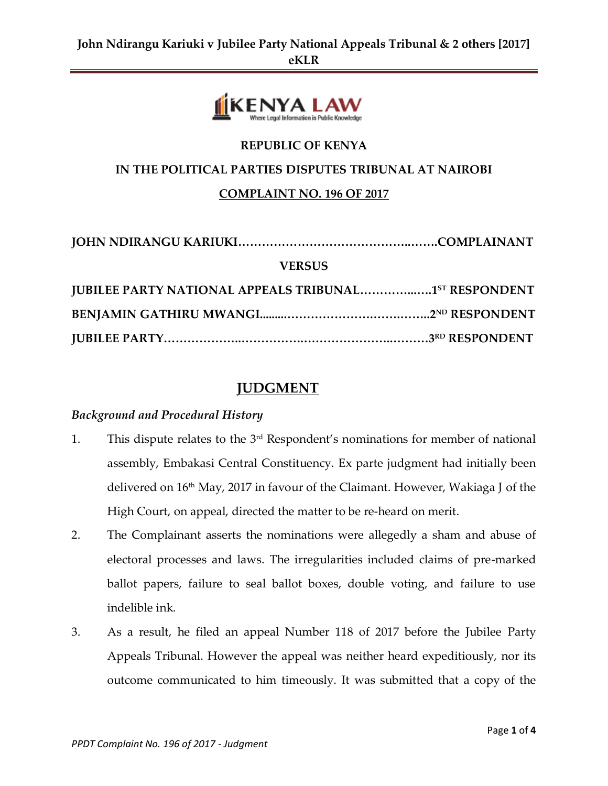

# **IN THE POLITICAL PARTIES DISPUTES TRIBUNAL AT NAIROBI**

**REPUBLIC OF KENYA**

#### **COMPLAINT NO. 196 OF 2017**

| <b>VERSUS</b>                                                |  |
|--------------------------------------------------------------|--|
| <b>JUBILEE PARTY NATIONAL APPEALS TRIBUNAL1ST RESPONDENT</b> |  |
|                                                              |  |
|                                                              |  |

## **JUDGMENT**

### *Background and Procedural History*

- 1. This dispute relates to the  $3<sup>rd</sup>$  Respondent's nominations for member of national assembly, Embakasi Central Constituency. Ex parte judgment had initially been delivered on 16th May, 2017 in favour of the Claimant. However, Wakiaga J of the High Court, on appeal, directed the matter to be re-heard on merit.
- 2. The Complainant asserts the nominations were allegedly a sham and abuse of electoral processes and laws. The irregularities included claims of pre-marked ballot papers, failure to seal ballot boxes, double voting, and failure to use indelible ink.
- 3. As a result, he filed an appeal Number 118 of 2017 before the Jubilee Party Appeals Tribunal. However the appeal was neither heard expeditiously, nor its outcome communicated to him timeously. It was submitted that a copy of the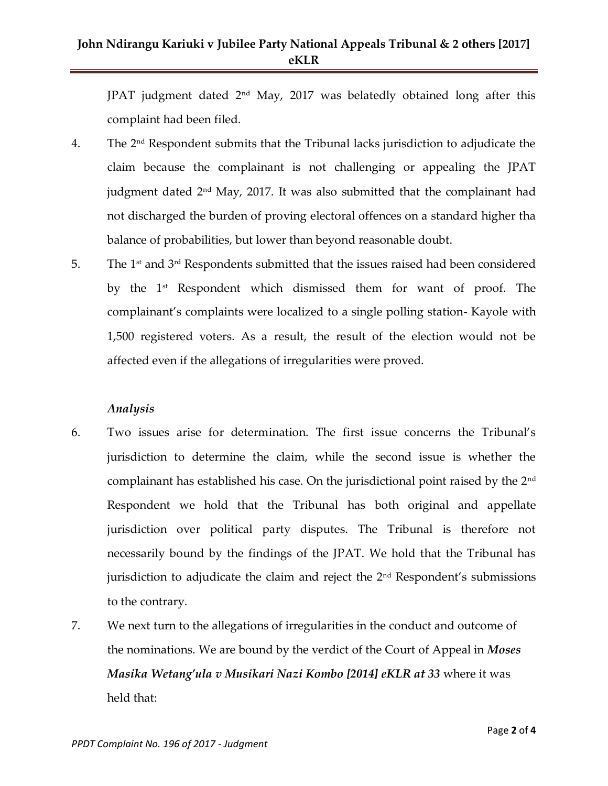## **John Ndirangu Kariuki v Jubilee Party National Appeals Tribunal & 2 others [2017] eKLR**

JPAT judgment dated 2nd May, 2017 was belatedly obtained long after this complaint had been filed.

- 4. The 2nd Respondent submits that the Tribunal lacks jurisdiction to adjudicate the claim because the complainant is not challenging or appealing the JPAT judgment dated  $2<sup>nd</sup>$  May, 2017. It was also submitted that the complainant had not discharged the burden of proving electoral offences on a standard higher tha balance of probabilities, but lower than beyond reasonable doubt.
- 5. The  $1<sup>st</sup>$  and  $3<sup>rd</sup>$  Respondents submitted that the issues raised had been considered by the 1st Respondent which dismissed them for want of proof. The complainant's complaints were localized to a single polling station- Kayole with 1,500 registered voters. As a result, the result of the election would not be affected even if the allegations of irregularities were proved.

#### *Analysis*

- 6. Two issues arise for determination. The first issue concerns the Tribunal's jurisdiction to determine the claim, while the second issue is whether the complainant has established his case. On the jurisdictional point raised by the  $2<sup>nd</sup>$ Respondent we hold that the Tribunal has both original and appellate jurisdiction over political party disputes. The Tribunal is therefore not necessarily bound by the findings of the JPAT. We hold that the Tribunal has jurisdiction to adjudicate the claim and reject the 2<sup>nd</sup> Respondent's submissions to the contrary.
- 7. We next turn to the allegations of irregularities in the conduct and outcome of the nominations. We are bound by the verdict of the Court of Appeal in *Moses Masika Wetang'ula v Musikari Nazi Kombo [2014] eKLR at 33* where it was held that: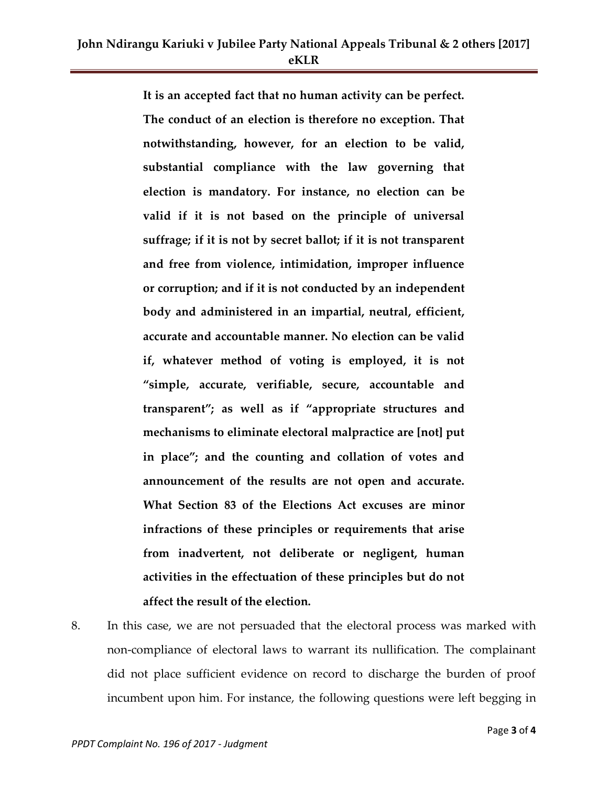**It is an accepted fact that no human activity can be perfect. The conduct of an election is therefore no exception. That notwithstanding, however, for an election to be valid, substantial compliance with the law governing that election is mandatory. For instance, no election can be valid if it is not based on the principle of universal suffrage; if it is not by secret ballot; if it is not transparent and free from violence, intimidation, improper influence or corruption; and if it is not conducted by an independent body and administered in an impartial, neutral, efficient, accurate and accountable manner. No election can be valid if, whatever method of voting is employed, it is not "simple, accurate, verifiable, secure, accountable and transparent"; as well as if "appropriate structures and mechanisms to eliminate electoral malpractice are [not] put in place"; and the counting and collation of votes and announcement of the results are not open and accurate. What Section 83 of the Elections Act excuses are minor infractions of these principles or requirements that arise from inadvertent, not deliberate or negligent, human activities in the effectuation of these principles but do not affect the result of the election.**

8. In this case, we are not persuaded that the electoral process was marked with non-compliance of electoral laws to warrant its nullification. The complainant did not place sufficient evidence on record to discharge the burden of proof incumbent upon him. For instance, the following questions were left begging in